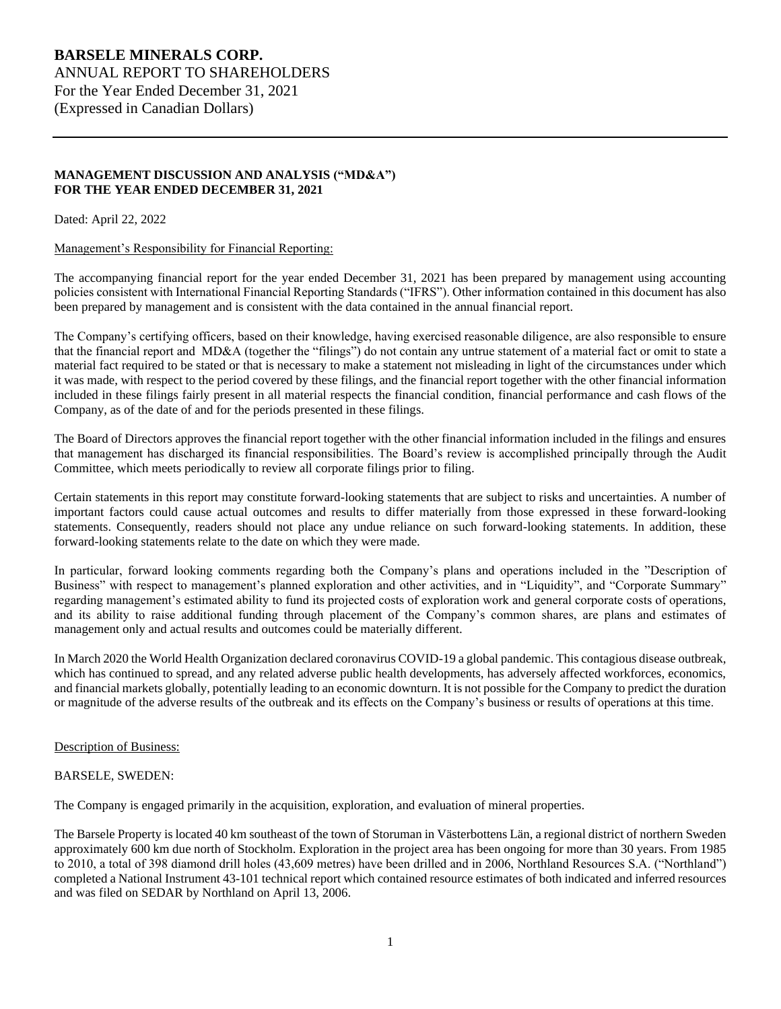## **MANAGEMENT DISCUSSION AND ANALYSIS ("MD&A") FOR THE YEAR ENDED DECEMBER 31, 2021**

Dated: April 22, 2022

#### Management's Responsibility for Financial Reporting:

The accompanying financial report for the year ended December 31, 2021 has been prepared by management using accounting policies consistent with International Financial Reporting Standards ("IFRS"). Other information contained in this document has also been prepared by management and is consistent with the data contained in the annual financial report.

The Company's certifying officers, based on their knowledge, having exercised reasonable diligence, are also responsible to ensure that the financial report and MD&A (together the "filings") do not contain any untrue statement of a material fact or omit to state a material fact required to be stated or that is necessary to make a statement not misleading in light of the circumstances under which it was made, with respect to the period covered by these filings, and the financial report together with the other financial information included in these filings fairly present in all material respects the financial condition, financial performance and cash flows of the Company, as of the date of and for the periods presented in these filings.

The Board of Directors approves the financial report together with the other financial information included in the filings and ensures that management has discharged its financial responsibilities. The Board's review is accomplished principally through the Audit Committee, which meets periodically to review all corporate filings prior to filing.

Certain statements in this report may constitute forward-looking statements that are subject to risks and uncertainties. A number of important factors could cause actual outcomes and results to differ materially from those expressed in these forward-looking statements. Consequently, readers should not place any undue reliance on such forward-looking statements. In addition, these forward-looking statements relate to the date on which they were made.

In particular, forward looking comments regarding both the Company's plans and operations included in the "Description of Business" with respect to management's planned exploration and other activities, and in "Liquidity", and "Corporate Summary" regarding management's estimated ability to fund its projected costs of exploration work and general corporate costs of operations, and its ability to raise additional funding through placement of the Company's common shares, are plans and estimates of management only and actual results and outcomes could be materially different.

In March 2020 the World Health Organization declared coronavirus COVID-19 a global pandemic. This contagious disease outbreak, which has continued to spread, and any related adverse public health developments, has adversely affected workforces, economics, and financial markets globally, potentially leading to an economic downturn. It is not possible for the Company to predict the duration or magnitude of the adverse results of the outbreak and its effects on the Company's business or results of operations at this time.

## Description of Business:

## BARSELE, SWEDEN:

The Company is engaged primarily in the acquisition, exploration, and evaluation of mineral properties.

The Barsele Property is located 40 km southeast of the town of Storuman in Västerbottens Län, a regional district of northern Sweden approximately 600 km due north of Stockholm. Exploration in the project area has been ongoing for more than 30 years. From 1985 to 2010, a total of 398 diamond drill holes (43,609 metres) have been drilled and in 2006, Northland Resources S.A. ("Northland") completed a National Instrument 43-101 technical report which contained resource estimates of both indicated and inferred resources and was filed on SEDAR by Northland on April 13, 2006.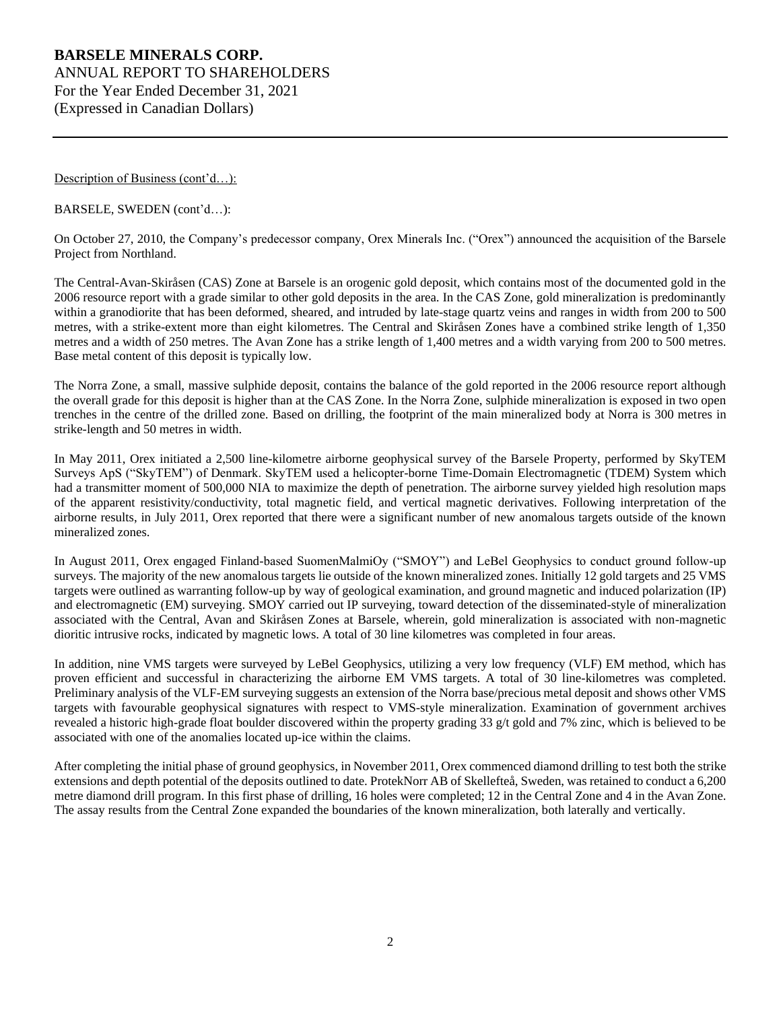Description of Business (cont'd...):

BARSELE, SWEDEN (cont'd…):

On October 27, 2010, the Company's predecessor company, Orex Minerals Inc. ("Orex") announced the acquisition of the Barsele Project from Northland.

The Central-Avan-Skiråsen (CAS) Zone at Barsele is an orogenic gold deposit, which contains most of the documented gold in the 2006 resource report with a grade similar to other gold deposits in the area. In the CAS Zone, gold mineralization is predominantly within a granodiorite that has been deformed, sheared, and intruded by late-stage quartz veins and ranges in width from 200 to 500 metres, with a strike-extent more than eight kilometres. The Central and Skiråsen Zones have a combined strike length of 1,350 metres and a width of 250 metres. The Avan Zone has a strike length of 1,400 metres and a width varying from 200 to 500 metres. Base metal content of this deposit is typically low.

The Norra Zone, a small, massive sulphide deposit, contains the balance of the gold reported in the 2006 resource report although the overall grade for this deposit is higher than at the CAS Zone. In the Norra Zone, sulphide mineralization is exposed in two open trenches in the centre of the drilled zone. Based on drilling, the footprint of the main mineralized body at Norra is 300 metres in strike-length and 50 metres in width.

In May 2011, Orex initiated a 2,500 line-kilometre airborne geophysical survey of the Barsele Property, performed by SkyTEM Surveys ApS ("SkyTEM") of Denmark. SkyTEM used a helicopter-borne Time-Domain Electromagnetic (TDEM) System which had a transmitter moment of 500,000 NIA to maximize the depth of penetration. The airborne survey yielded high resolution maps of the apparent resistivity/conductivity, total magnetic field, and vertical magnetic derivatives. Following interpretation of the airborne results, in July 2011, Orex reported that there were a significant number of new anomalous targets outside of the known mineralized zones.

In August 2011, Orex engaged Finland-based SuomenMalmiOy ("SMOY") and LeBel Geophysics to conduct ground follow-up surveys. The majority of the new anomalous targets lie outside of the known mineralized zones. Initially 12 gold targets and 25 VMS targets were outlined as warranting follow-up by way of geological examination, and ground magnetic and induced polarization (IP) and electromagnetic (EM) surveying. SMOY carried out IP surveying, toward detection of the disseminated-style of mineralization associated with the Central, Avan and Skiråsen Zones at Barsele, wherein, gold mineralization is associated with non-magnetic dioritic intrusive rocks, indicated by magnetic lows. A total of 30 line kilometres was completed in four areas.

In addition, nine VMS targets were surveyed by LeBel Geophysics, utilizing a very low frequency (VLF) EM method, which has proven efficient and successful in characterizing the airborne EM VMS targets. A total of 30 line-kilometres was completed. Preliminary analysis of the VLF-EM surveying suggests an extension of the Norra base/precious metal deposit and shows other VMS targets with favourable geophysical signatures with respect to VMS-style mineralization. Examination of government archives revealed a historic high-grade float boulder discovered within the property grading 33 g/t gold and 7% zinc, which is believed to be associated with one of the anomalies located up-ice within the claims.

After completing the initial phase of ground geophysics, in November 2011, Orex commenced diamond drilling to test both the strike extensions and depth potential of the deposits outlined to date. ProtekNorr AB of Skellefteå, Sweden, was retained to conduct a 6,200 metre diamond drill program. In this first phase of drilling, 16 holes were completed; 12 in the Central Zone and 4 in the Avan Zone. The assay results from the Central Zone expanded the boundaries of the known mineralization, both laterally and vertically.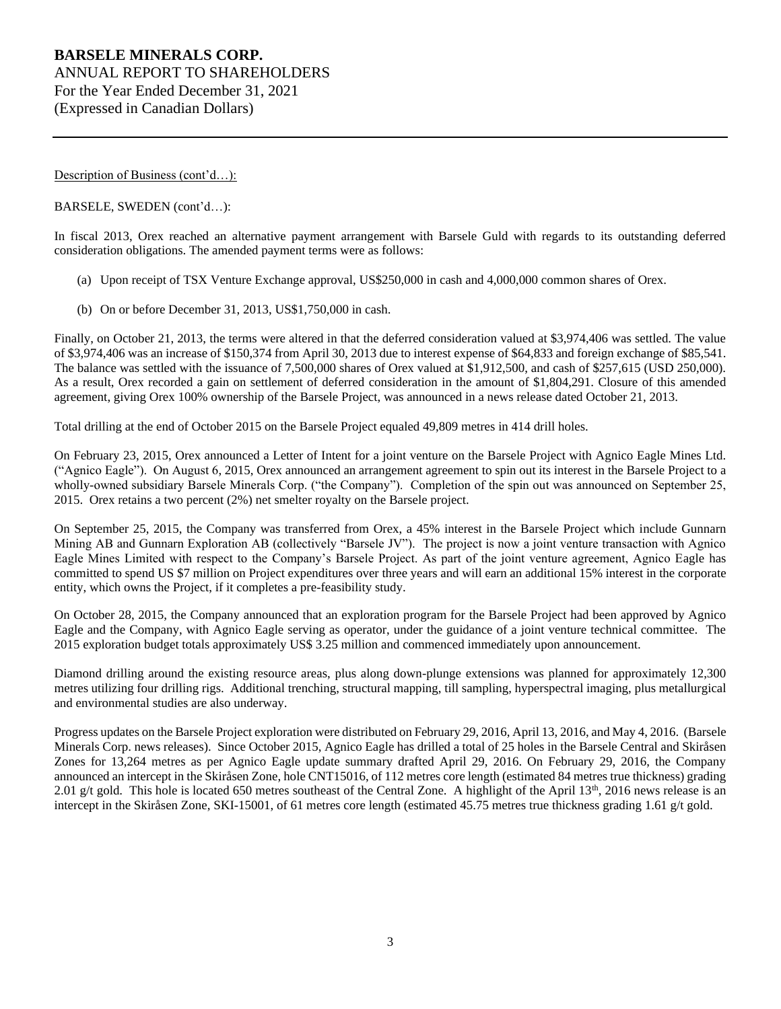Description of Business (cont'd...):

#### BARSELE, SWEDEN (cont'd…):

In fiscal 2013, Orex reached an alternative payment arrangement with Barsele Guld with regards to its outstanding deferred consideration obligations. The amended payment terms were as follows:

- (a) Upon receipt of TSX Venture Exchange approval, US\$250,000 in cash and 4,000,000 common shares of Orex.
- (b) On or before December 31, 2013, US\$1,750,000 in cash.

Finally, on October 21, 2013, the terms were altered in that the deferred consideration valued at \$3,974,406 was settled. The value of \$3,974,406 was an increase of \$150,374 from April 30, 2013 due to interest expense of \$64,833 and foreign exchange of \$85,541. The balance was settled with the issuance of 7,500,000 shares of Orex valued at \$1,912,500, and cash of \$257,615 (USD 250,000). As a result, Orex recorded a gain on settlement of deferred consideration in the amount of \$1,804,291. Closure of this amended agreement, giving Orex 100% ownership of the Barsele Project, was announced in a news release dated October 21, 2013.

Total drilling at the end of October 2015 on the Barsele Project equaled 49,809 metres in 414 drill holes.

On February 23, 2015, Orex announced a Letter of Intent for a joint venture on the Barsele Project with Agnico Eagle Mines Ltd. ("Agnico Eagle"). On August 6, 2015, Orex announced an arrangement agreement to spin out its interest in the Barsele Project to a wholly-owned subsidiary Barsele Minerals Corp. ("the Company"). Completion of the spin out was announced on September 25, 2015. Orex retains a two percent (2%) net smelter royalty on the Barsele project.

On September 25, 2015, the Company was transferred from Orex, a 45% interest in the Barsele Project which include Gunnarn Mining AB and Gunnarn Exploration AB (collectively "Barsele JV"). The project is now a joint venture transaction with Agnico Eagle Mines Limited with respect to the Company's Barsele Project. As part of the joint venture agreement, Agnico Eagle has committed to spend US \$7 million on Project expenditures over three years and will earn an additional 15% interest in the corporate entity, which owns the Project, if it completes a pre-feasibility study.

On October 28, 2015, the Company announced that an exploration program for the Barsele Project had been approved by Agnico Eagle and the Company, with Agnico Eagle serving as operator, under the guidance of a joint venture technical committee. The 2015 exploration budget totals approximately US\$ 3.25 million and commenced immediately upon announcement.

Diamond drilling around the existing resource areas, plus along down-plunge extensions was planned for approximately 12,300 metres utilizing four drilling rigs. Additional trenching, structural mapping, till sampling, hyperspectral imaging, plus metallurgical and environmental studies are also underway.

Progress updates on the Barsele Project exploration were distributed on February 29, 2016, April 13, 2016, and May 4, 2016. (Barsele Minerals Corp. news releases). Since October 2015, Agnico Eagle has drilled a total of 25 holes in the Barsele Central and Skiråsen Zones for 13,264 metres as per Agnico Eagle update summary drafted April 29, 2016. On February 29, 2016, the Company announced an intercept in the Skiråsen Zone, hole CNT15016, of 112 metres core length (estimated 84 metres true thickness) grading 2.01 g/t gold. This hole is located 650 metres southeast of the Central Zone. A highlight of the April  $13<sup>th</sup>$ , 2016 news release is an intercept in the Skiråsen Zone, SKI-15001, of 61 metres core length (estimated 45.75 metres true thickness grading 1.61 g/t gold.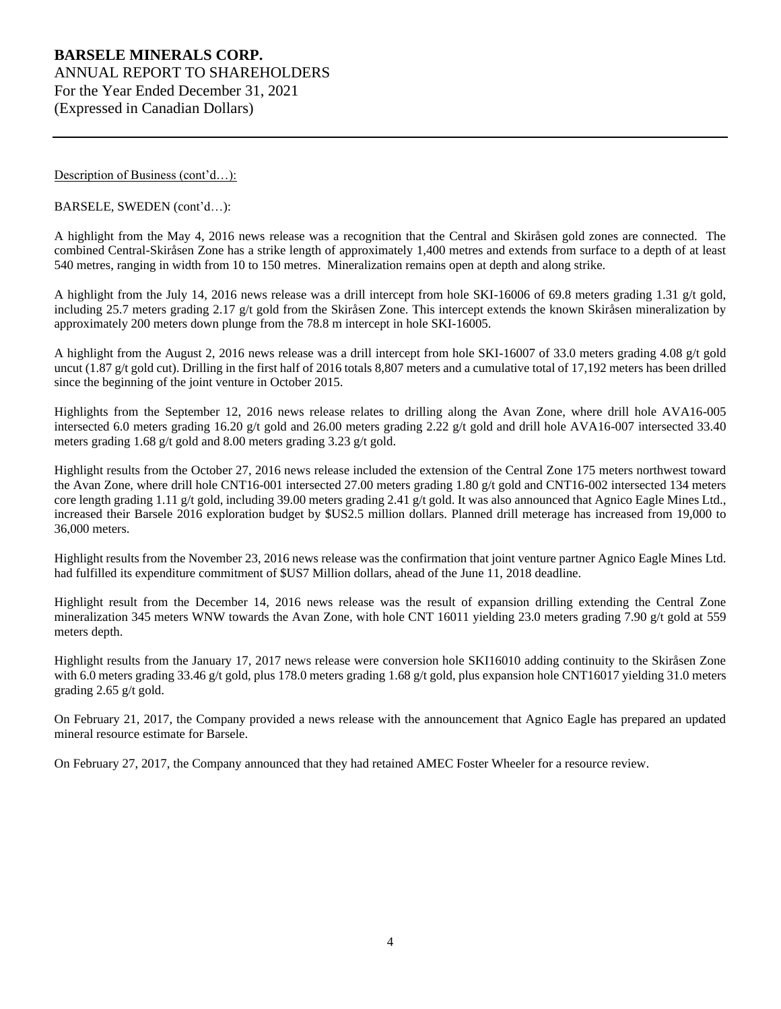Description of Business (cont'd...):

BARSELE, SWEDEN (cont'd…):

A highlight from the May 4, 2016 news release was a recognition that the Central and Skiråsen gold zones are connected. The combined Central-Skiråsen Zone has a strike length of approximately 1,400 metres and extends from surface to a depth of at least 540 metres, ranging in width from 10 to 150 metres. Mineralization remains open at depth and along strike.

A highlight from the July 14, 2016 news release was a drill intercept from hole SKI-16006 of 69.8 meters grading 1.31 g/t gold, including 25.7 meters grading 2.17 g/t gold from the Skiråsen Zone. This intercept extends the known Skiråsen mineralization by approximately 200 meters down plunge from the 78.8 m intercept in hole SKI-16005.

A highlight from the August 2, 2016 news release was a drill intercept from hole SKI-16007 of 33.0 meters grading 4.08 g/t gold uncut (1.87 g/t gold cut). Drilling in the first half of 2016 totals 8,807 meters and a cumulative total of 17,192 meters has been drilled since the beginning of the joint venture in October 2015.

Highlights from the September 12, 2016 news release relates to drilling along the Avan Zone, where drill hole AVA16-005 intersected 6.0 meters grading 16.20 g/t gold and 26.00 meters grading 2.22 g/t gold and drill hole AVA16-007 intersected 33.40 meters grading 1.68 g/t gold and 8.00 meters grading 3.23 g/t gold.

Highlight results from the October 27, 2016 news release included the extension of the Central Zone 175 meters northwest toward the Avan Zone, where drill hole CNT16-001 intersected 27.00 meters grading 1.80 g/t gold and CNT16-002 intersected 134 meters core length grading 1.11 g/t gold, including 39.00 meters grading 2.41 g/t gold. It was also announced that Agnico Eagle Mines Ltd., increased their Barsele 2016 exploration budget by \$US2.5 million dollars. Planned drill meterage has increased from 19,000 to 36,000 meters.

Highlight results from the November 23, 2016 news release was the confirmation that joint venture partner Agnico Eagle Mines Ltd. had fulfilled its expenditure commitment of \$US7 Million dollars, ahead of the June 11, 2018 deadline.

Highlight result from the December 14, 2016 news release was the result of expansion drilling extending the Central Zone mineralization 345 meters WNW towards the Avan Zone, with hole CNT 16011 yielding 23.0 meters grading 7.90 g/t gold at 559 meters depth.

Highlight results from the January 17, 2017 news release were conversion hole SKI16010 adding continuity to the Skiråsen Zone with 6.0 meters grading 33.46 g/t gold, plus 178.0 meters grading 1.68 g/t gold, plus expansion hole CNT16017 yielding 31.0 meters grading 2.65 g/t gold.

On February 21, 2017, the Company provided a news release with the announcement that Agnico Eagle has prepared an updated mineral resource estimate for Barsele.

On February 27, 2017, the Company announced that they had retained AMEC Foster Wheeler for a resource review.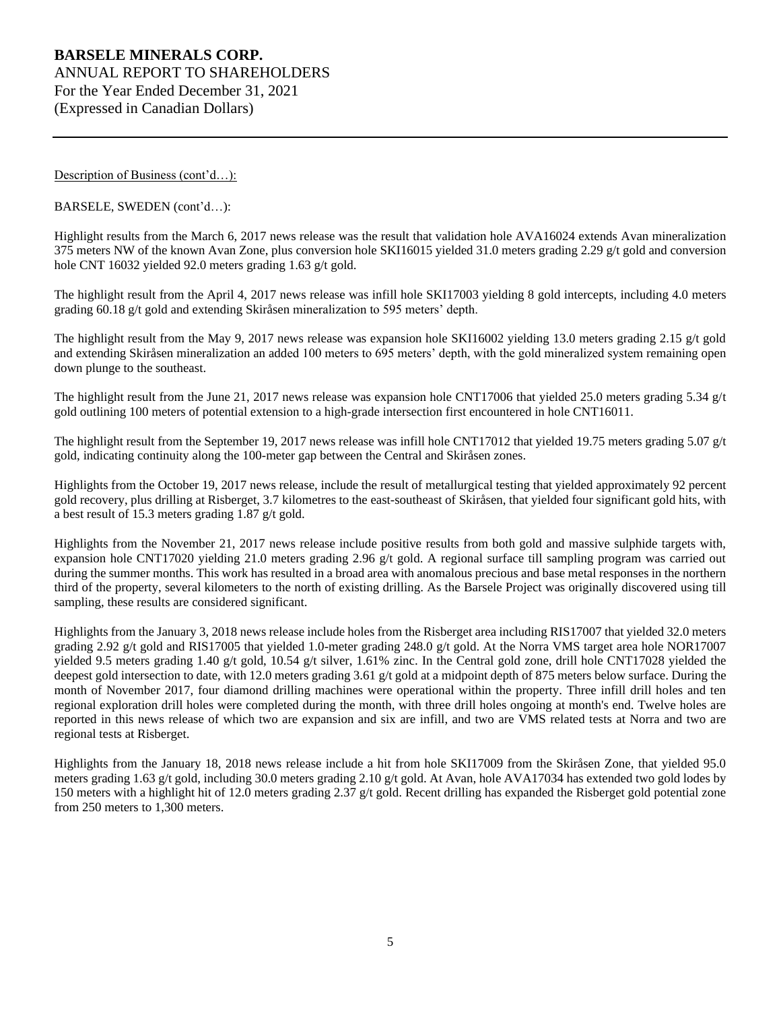Description of Business (cont'd...):

BARSELE, SWEDEN (cont'd…):

Highlight results from the March 6, 2017 news release was the result that validation hole AVA16024 extends Avan mineralization 375 meters NW of the known Avan Zone, plus conversion hole SKI16015 yielded 31.0 meters grading 2.29 g/t gold and conversion hole CNT 16032 yielded 92.0 meters grading 1.63 g/t gold.

The highlight result from the April 4, 2017 news release was infill hole SKI17003 yielding 8 gold intercepts, including 4.0 meters grading 60.18 g/t gold and extending Skiråsen mineralization to 595 meters' depth.

The highlight result from the May 9, 2017 news release was expansion hole SKI16002 yielding 13.0 meters grading 2.15 g/t gold and extending Skiråsen mineralization an added 100 meters to 695 meters' depth, with the gold mineralized system remaining open down plunge to the southeast.

The highlight result from the June 21, 2017 news release was expansion hole CNT17006 that yielded 25.0 meters grading 5.34  $g/t$ gold outlining 100 meters of potential extension to a high-grade intersection first encountered in hole CNT16011.

The highlight result from the September 19, 2017 news release was infill hole CNT17012 that yielded 19.75 meters grading 5.07  $g/t$ gold, indicating continuity along the 100-meter gap between the Central and Skiråsen zones.

Highlights from the October 19, 2017 news release, include the result of metallurgical testing that yielded approximately 92 percent gold recovery, plus drilling at Risberget, 3.7 kilometres to the east-southeast of Skiråsen, that yielded four significant gold hits, with a best result of 15.3 meters grading 1.87 g/t gold.

Highlights from the November 21, 2017 news release include positive results from both gold and massive sulphide targets with, expansion hole CNT17020 yielding 21.0 meters grading 2.96 g/t gold. A regional surface till sampling program was carried out during the summer months. This work has resulted in a broad area with anomalous precious and base metal responses in the northern third of the property, several kilometers to the north of existing drilling. As the Barsele Project was originally discovered using till sampling, these results are considered significant.

Highlights from the January 3, 2018 news release include holes from the Risberget area including RIS17007 that yielded 32.0 meters grading 2.92 g/t gold and RIS17005 that yielded 1.0-meter grading 248.0 g/t gold. At the Norra VMS target area hole NOR17007 yielded 9.5 meters grading 1.40 g/t gold, 10.54 g/t silver, 1.61% zinc. In the Central gold zone, drill hole CNT17028 yielded the deepest gold intersection to date, with 12.0 meters grading 3.61 g/t gold at a midpoint depth of 875 meters below surface. During the month of November 2017, four diamond drilling machines were operational within the property. Three infill drill holes and ten regional exploration drill holes were completed during the month, with three drill holes ongoing at month's end. Twelve holes are reported in this news release of which two are expansion and six are infill, and two are VMS related tests at Norra and two are regional tests at Risberget.

Highlights from the January 18, 2018 news release include a hit from hole SKI17009 from the Skiråsen Zone, that yielded 95.0 meters grading 1.63 g/t gold, including 30.0 meters grading 2.10 g/t gold. At Avan, hole AVA17034 has extended two gold lodes by 150 meters with a highlight hit of 12.0 meters grading 2.37 g/t gold. Recent drilling has expanded the Risberget gold potential zone from 250 meters to 1,300 meters.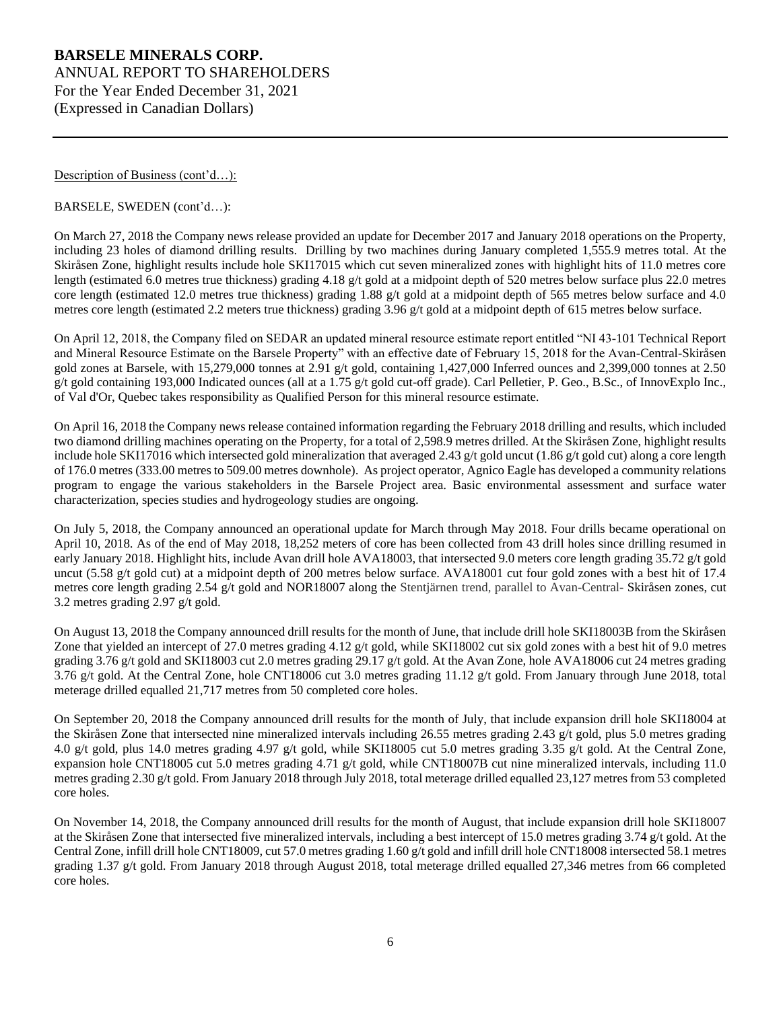Description of Business (cont'd...):

BARSELE, SWEDEN (cont'd…):

On March 27, 2018 the Company news release provided an update for December 2017 and January 2018 operations on the Property, including 23 holes of diamond drilling results. Drilling by two machines during January completed 1,555.9 metres total. At the Skiråsen Zone, highlight results include hole SKI17015 which cut seven mineralized zones with highlight hits of 11.0 metres core length (estimated 6.0 metres true thickness) grading 4.18 g/t gold at a midpoint depth of 520 metres below surface plus 22.0 metres core length (estimated 12.0 metres true thickness) grading 1.88 g/t gold at a midpoint depth of 565 metres below surface and 4.0 metres core length (estimated 2.2 meters true thickness) grading 3.96 g/t gold at a midpoint depth of 615 metres below surface.

On April 12, 2018, the Company filed on SEDAR an updated mineral resource estimate report entitled "NI 43-101 Technical Report and Mineral Resource Estimate on the Barsele Property" with an effective date of February 15, 2018 for the Avan-Central-Skiråsen gold zones at Barsele, with 15,279,000 tonnes at 2.91 g/t gold, containing 1,427,000 Inferred ounces and 2,399,000 tonnes at 2.50 g/t gold containing 193,000 Indicated ounces (all at a 1.75 g/t gold cut-off grade). Carl Pelletier, P. Geo., B.Sc., of InnovExplo Inc., of Val d'Or, Quebec takes responsibility as Qualified Person for this mineral resource estimate.

On April 16, 2018 the Company news release contained information regarding the February 2018 drilling and results, which included two diamond drilling machines operating on the Property, for a total of 2,598.9 metres drilled. At the Skiråsen Zone, highlight results include hole SKI17016 which intersected gold mineralization that averaged 2.43 g/t gold uncut (1.86 g/t gold cut) along a core length of 176.0 metres (333.00 metres to 509.00 metres downhole). As project operator, Agnico Eagle has developed a community relations program to engage the various stakeholders in the Barsele Project area. Basic environmental assessment and surface water characterization, species studies and hydrogeology studies are ongoing.

On July 5, 2018, the Company announced an operational update for March through May 2018. Four drills became operational on April 10, 2018. As of the end of May 2018, 18,252 meters of core has been collected from 43 drill holes since drilling resumed in early January 2018. Highlight hits, include Avan drill hole AVA18003, that intersected 9.0 meters core length grading 35.72 g/t gold uncut (5.58 g/t gold cut) at a midpoint depth of 200 metres below surface. AVA18001 cut four gold zones with a best hit of 17.4 metres core length grading 2.54 g/t gold and NOR18007 along the Stentjärnen trend, parallel to Avan-Central- Skiråsen zones, cut 3.2 metres grading 2.97 g/t gold.

On August 13, 2018 the Company announced drill results for the month of June, that include drill hole SKI18003B from the Skiråsen Zone that yielded an intercept of 27.0 metres grading 4.12 g/t gold, while SKI18002 cut six gold zones with a best hit of 9.0 metres grading 3.76 g/t gold and SKI18003 cut 2.0 metres grading 29.17 g/t gold. At the Avan Zone, hole AVA18006 cut 24 metres grading 3.76 g/t gold. At the Central Zone, hole CNT18006 cut 3.0 metres grading 11.12 g/t gold. From January through June 2018, total meterage drilled equalled 21,717 metres from 50 completed core holes.

On September 20, 2018 the Company announced drill results for the month of July, that include expansion drill hole SKI18004 at the Skiråsen Zone that intersected nine mineralized intervals including 26.55 metres grading 2.43 g/t gold, plus 5.0 metres grading 4.0 g/t gold, plus 14.0 metres grading 4.97 g/t gold, while SKI18005 cut 5.0 metres grading 3.35 g/t gold. At the Central Zone, expansion hole CNT18005 cut 5.0 metres grading 4.71 g/t gold, while CNT18007B cut nine mineralized intervals, including 11.0 metres grading 2.30 g/t gold. From January 2018 through July 2018, total meterage drilled equalled 23,127 metres from 53 completed core holes.

On November 14, 2018, the Company announced drill results for the month of August, that include expansion drill hole SKI18007 at the Skiråsen Zone that intersected five mineralized intervals, including a best intercept of 15.0 metres grading 3.74 g/t gold. At the Central Zone, infill drill hole CNT18009, cut 57.0 metres grading 1.60 g/t gold and infill drill hole CNT18008 intersected 58.1 metres grading 1.37 g/t gold. From January 2018 through August 2018, total meterage drilled equalled 27,346 metres from 66 completed core holes.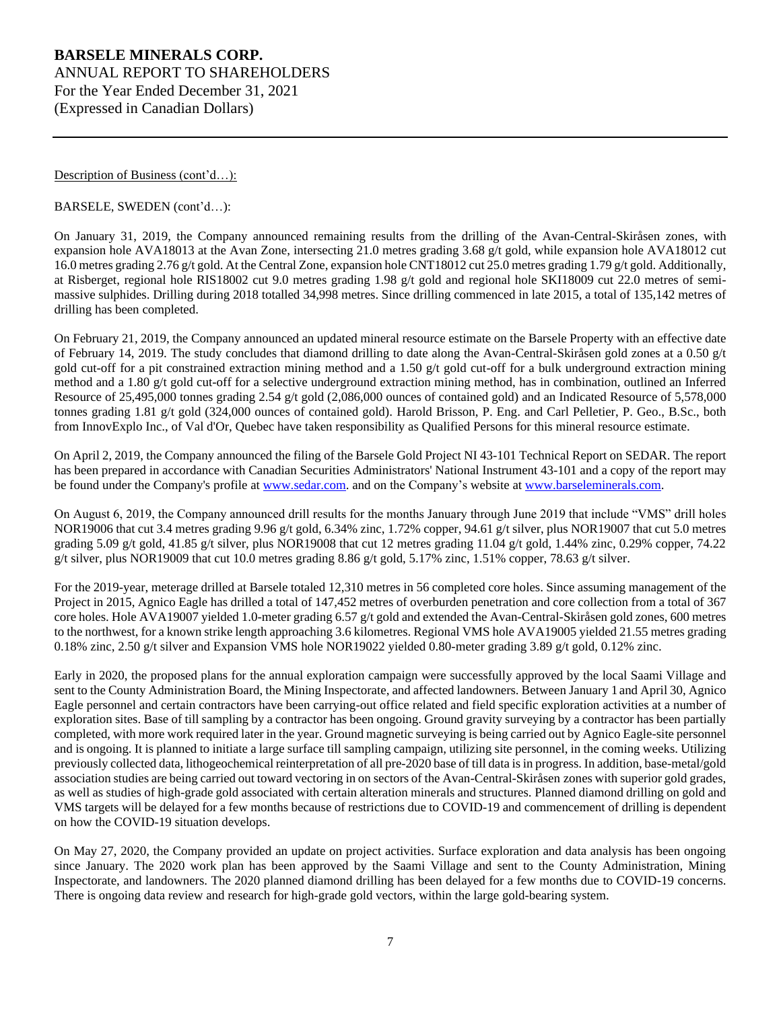Description of Business (cont'd...):

BARSELE, SWEDEN (cont'd…):

On January 31, 2019, the Company announced remaining results from the drilling of the Avan-Central-Skiråsen zones, with expansion hole AVA18013 at the Avan Zone, intersecting 21.0 metres grading 3.68 g/t gold, while expansion hole AVA18012 cut 16.0 metres grading 2.76 g/t gold. At the Central Zone, expansion hole CNT18012 cut 25.0 metres grading 1.79 g/t gold. Additionally, at Risberget, regional hole RIS18002 cut 9.0 metres grading 1.98 g/t gold and regional hole SKI18009 cut 22.0 metres of semimassive sulphides. Drilling during 2018 totalled 34,998 metres. Since drilling commenced in late 2015, a total of 135,142 metres of drilling has been completed.

On February 21, 2019, the Company announced an updated mineral resource estimate on the Barsele Property with an effective date of February 14, 2019. The study concludes that diamond drilling to date along the Avan-Central-Skiråsen gold zones at a 0.50 g/t gold cut-off for a pit constrained extraction mining method and a 1.50 g/t gold cut-off for a bulk underground extraction mining method and a 1.80 g/t gold cut-off for a selective underground extraction mining method, has in combination, outlined an Inferred Resource of 25,495,000 tonnes grading 2.54 g/t gold (2,086,000 ounces of contained gold) and an Indicated Resource of 5,578,000 tonnes grading 1.81 g/t gold (324,000 ounces of contained gold). Harold Brisson, P. Eng. and Carl Pelletier, P. Geo., B.Sc., both from InnovExplo Inc., of Val d'Or, Quebec have taken responsibility as Qualified Persons for this mineral resource estimate.

On April 2, 2019, the Company announced the filing of the Barsele Gold Project NI 43-101 Technical Report on SEDAR. The report has been prepared in accordance with Canadian Securities Administrators' National Instrument 43-101 and a copy of the report may be found under the Company's profile at [www.sedar.com.](http://www.sedar.com/) and on the Company's website at [www.barseleminerals.com.](http://www.barseleminerals.com/)

On August 6, 2019, the Company announced drill results for the months January through June 2019 that include "VMS" drill holes NOR19006 that cut 3.4 metres grading 9.96 g/t gold, 6.34% zinc, 1.72% copper, 94.61 g/t silver, plus NOR19007 that cut 5.0 metres grading 5.09 g/t gold, 41.85 g/t silver, plus NOR19008 that cut 12 metres grading 11.04 g/t gold, 1.44% zinc, 0.29% copper, 74.22 g/t silver, plus NOR19009 that cut 10.0 metres grading 8.86 g/t gold, 5.17% zinc, 1.51% copper, 78.63 g/t silver.

For the 2019-year, meterage drilled at Barsele totaled 12,310 metres in 56 completed core holes. Since assuming management of the Project in 2015, Agnico Eagle has drilled a total of 147,452 metres of overburden penetration and core collection from a total of 367 core holes. Hole AVA19007 yielded 1.0-meter grading 6.57 g/t gold and extended the Avan-Central-Skiråsen gold zones, 600 metres to the northwest, for a known strike length approaching 3.6 kilometres. Regional VMS hole AVA19005 yielded 21.55 metres grading 0.18% zinc, 2.50 g/t silver and Expansion VMS hole NOR19022 yielded 0.80-meter grading 3.89 g/t gold, 0.12% zinc.

Early in 2020, the proposed plans for the annual exploration campaign were successfully approved by the local Saami Village and sent to the County Administration Board, the Mining Inspectorate, and affected landowners. Between January 1 and April 30, Agnico Eagle personnel and certain contractors have been carrying-out office related and field specific exploration activities at a number of exploration sites. Base of till sampling by a contractor has been ongoing. Ground gravity surveying by a contractor has been partially completed, with more work required later in the year. Ground magnetic surveying is being carried out by Agnico Eagle-site personnel and is ongoing. It is planned to initiate a large surface till sampling campaign, utilizing site personnel, in the coming weeks. Utilizing previously collected data, lithogeochemical reinterpretation of all pre-2020 base of till data is in progress. In addition, base-metal/gold association studies are being carried out toward vectoring in on sectors of the Avan-Central-Skiråsen zones with superior gold grades, as well as studies of high-grade gold associated with certain alteration minerals and structures. Planned diamond drilling on gold and VMS targets will be delayed for a few months because of restrictions due to COVID-19 and commencement of drilling is dependent on how the COVID-19 situation develops.

On May 27, 2020, the Company provided an update on project activities. Surface exploration and data analysis has been ongoing since January. The 2020 work plan has been approved by the Saami Village and sent to the County Administration, Mining Inspectorate, and landowners. The 2020 planned diamond drilling has been delayed for a few months due to COVID-19 concerns. There is ongoing data review and research for high-grade gold vectors, within the large gold-bearing system.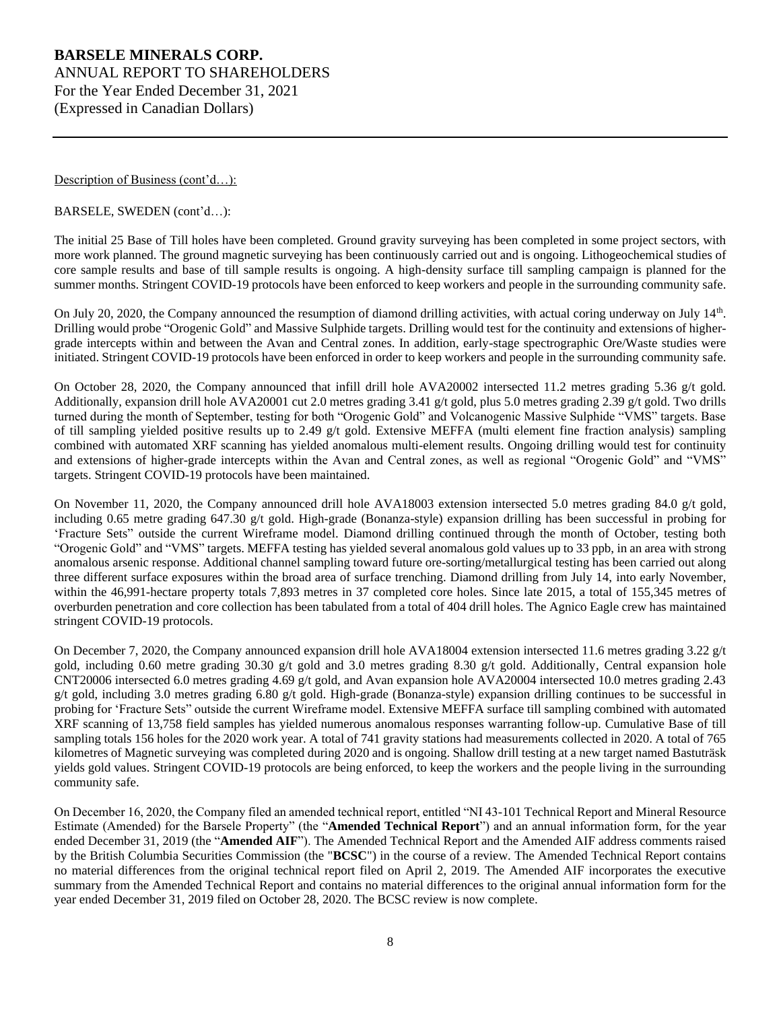Description of Business (cont'd...):

BARSELE, SWEDEN (cont'd…):

The initial 25 Base of Till holes have been completed. Ground gravity surveying has been completed in some project sectors, with more work planned. The ground magnetic surveying has been continuously carried out and is ongoing. Lithogeochemical studies of core sample results and base of till sample results is ongoing. A high-density surface till sampling campaign is planned for the summer months. Stringent COVID-19 protocols have been enforced to keep workers and people in the surrounding community safe.

On July 20, 2020, the Company announced the resumption of diamond drilling activities, with actual coring underway on July 14<sup>th</sup>. Drilling would probe "Orogenic Gold" and Massive Sulphide targets. Drilling would test for the continuity and extensions of highergrade intercepts within and between the Avan and Central zones. In addition, early-stage spectrographic Ore/Waste studies were initiated. Stringent COVID-19 protocols have been enforced in order to keep workers and people in the surrounding community safe.

On October 28, 2020, the Company announced that infill drill hole AVA20002 intersected 11.2 metres grading 5.36 g/t gold. Additionally, expansion drill hole AVA20001 cut 2.0 metres grading 3.41 g/t gold, plus 5.0 metres grading 2.39 g/t gold. Two drills turned during the month of September, testing for both "Orogenic Gold" and Volcanogenic Massive Sulphide "VMS" targets. Base of till sampling yielded positive results up to 2.49 g/t gold. Extensive MEFFA (multi element fine fraction analysis) sampling combined with automated XRF scanning has yielded anomalous multi-element results. Ongoing drilling would test for continuity and extensions of higher-grade intercepts within the Avan and Central zones, as well as regional "Orogenic Gold" and "VMS" targets. Stringent COVID-19 protocols have been maintained.

On November 11, 2020, the Company announced drill hole AVA18003 extension intersected 5.0 metres grading 84.0 g/t gold, including 0.65 metre grading 647.30 g/t gold. High-grade (Bonanza-style) expansion drilling has been successful in probing for 'Fracture Sets" outside the current Wireframe model. Diamond drilling continued through the month of October, testing both "Orogenic Gold" and "VMS" targets. MEFFA testing has yielded several anomalous gold values up to 33 ppb, in an area with strong anomalous arsenic response. Additional channel sampling toward future ore-sorting/metallurgical testing has been carried out along three different surface exposures within the broad area of surface trenching. Diamond drilling from July 14, into early November, within the 46,991-hectare property totals 7,893 metres in 37 completed core holes. Since late 2015, a total of 155,345 metres of overburden penetration and core collection has been tabulated from a total of 404 drill holes. The Agnico Eagle crew has maintained stringent COVID-19 protocols.

On December 7, 2020, the Company announced expansion drill hole AVA18004 extension intersected 11.6 metres grading 3.22 g/t gold, including 0.60 metre grading 30.30 g/t gold and 3.0 metres grading 8.30 g/t gold. Additionally, Central expansion hole CNT20006 intersected 6.0 metres grading 4.69 g/t gold, and Avan expansion hole AVA20004 intersected 10.0 metres grading 2.43 g/t gold, including 3.0 metres grading 6.80 g/t gold. High-grade (Bonanza-style) expansion drilling continues to be successful in probing for 'Fracture Sets" outside the current Wireframe model. Extensive MEFFA surface till sampling combined with automated XRF scanning of 13,758 field samples has yielded numerous anomalous responses warranting follow-up. Cumulative Base of till sampling totals 156 holes for the 2020 work year. A total of 741 gravity stations had measurements collected in 2020. A total of 765 kilometres of Magnetic surveying was completed during 2020 and is ongoing. Shallow drill testing at a new target named Bastuträsk yields gold values. Stringent COVID-19 protocols are being enforced, to keep the workers and the people living in the surrounding community safe.

On December 16, 2020, the Company filed an amended technical report, entitled "NI 43-101 Technical Report and Mineral Resource Estimate (Amended) for the Barsele Property" (the "**Amended Technical Report**") and an annual information form, for the year ended December 31, 2019 (the "**Amended AIF**"). The Amended Technical Report and the Amended AIF address comments raised by the British Columbia Securities Commission (the "**BCSC**") in the course of a review. The Amended Technical Report contains no material differences from the original technical report filed on April 2, 2019. The Amended AIF incorporates the executive summary from the Amended Technical Report and contains no material differences to the original annual information form for the year ended December 31, 2019 filed on October 28, 2020. The BCSC review is now complete.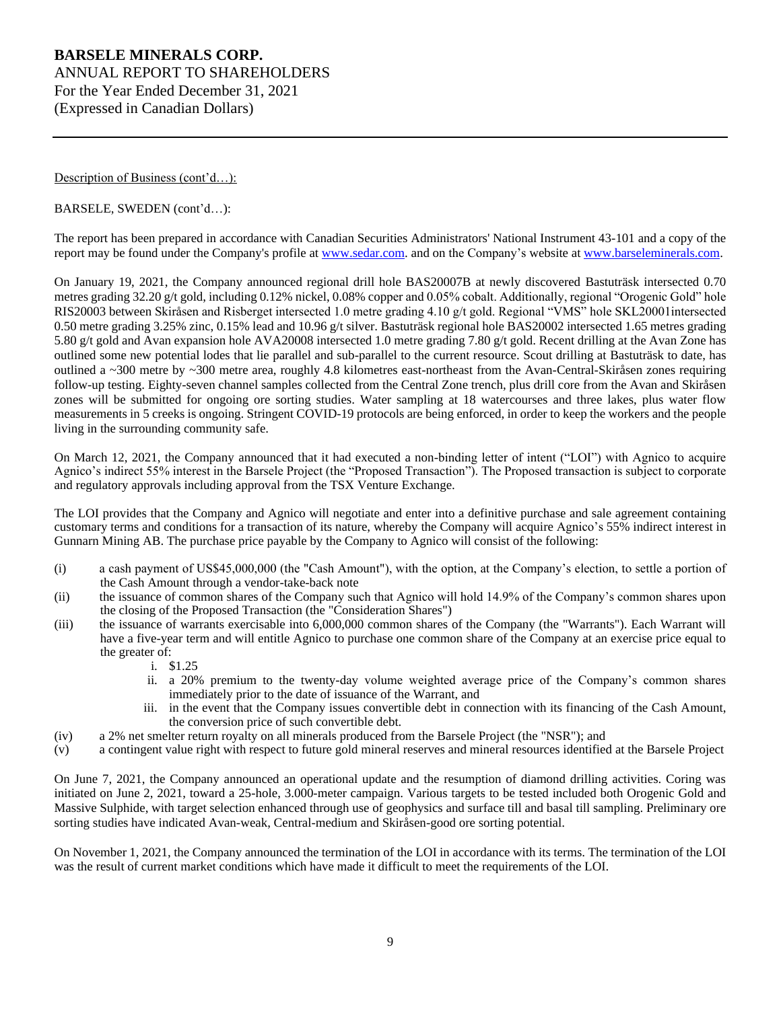Description of Business (cont'd…):

## BARSELE, SWEDEN (cont'd…):

The report has been prepared in accordance with Canadian Securities Administrators' National Instrument 43-101 and a copy of the report may be found under the Company's profile at [www.sedar.com.](http://www.sedar.com/) and on the Company's website at [www.barseleminerals.com.](http://www.barseleminerals.com/)

On January 19, 2021, the Company announced regional drill hole BAS20007B at newly discovered Bastuträsk intersected 0.70 metres grading 32.20 g/t gold, including 0.12% nickel, 0.08% copper and 0.05% cobalt. Additionally, regional "Orogenic Gold" hole RIS20003 between Skiråsen and Risberget intersected 1.0 metre grading 4.10 g/t gold. Regional "VMS" hole SKL20001intersected 0.50 metre grading 3.25% zinc, 0.15% lead and 10.96 g/t silver. Bastuträsk regional hole BAS20002 intersected 1.65 metres grading 5.80 g/t gold and Avan expansion hole AVA20008 intersected 1.0 metre grading 7.80 g/t gold. Recent drilling at the Avan Zone has outlined some new potential lodes that lie parallel and sub-parallel to the current resource. Scout drilling at Bastuträsk to date, has outlined a ~300 metre by ~300 metre area, roughly 4.8 kilometres east-northeast from the Avan-Central-Skiråsen zones requiring follow-up testing. Eighty-seven channel samples collected from the Central Zone trench, plus drill core from the Avan and Skiråsen zones will be submitted for ongoing ore sorting studies. Water sampling at 18 watercourses and three lakes, plus water flow measurements in 5 creeks is ongoing. Stringent COVID-19 protocols are being enforced, in order to keep the workers and the people living in the surrounding community safe.

On March 12, 2021, the Company announced that it had executed a non-binding letter of intent ("LOI") with Agnico to acquire Agnico's indirect 55% interest in the Barsele Project (the "Proposed Transaction"). The Proposed transaction is subject to corporate and regulatory approvals including approval from the TSX Venture Exchange.

The LOI provides that the Company and Agnico will negotiate and enter into a definitive purchase and sale agreement containing customary terms and conditions for a transaction of its nature, whereby the Company will acquire Agnico's 55% indirect interest in Gunnarn Mining AB. The purchase price payable by the Company to Agnico will consist of the following:

- (i) a cash payment of US\$45,000,000 (the "Cash Amount"), with the option, at the Company's election, to settle a portion of the Cash Amount through a vendor-take-back note
- (ii) the issuance of common shares of the Company such that Agnico will hold 14.9% of the Company's common shares upon the closing of the Proposed Transaction (the "Consideration Shares")
- (iii) the issuance of warrants exercisable into 6,000,000 common shares of the Company (the "Warrants"). Each Warrant will have a five-year term and will entitle Agnico to purchase one common share of the Company at an exercise price equal to the greater of:
	- i. \$1.25
	- ii. a 20% premium to the twenty-day volume weighted average price of the Company's common shares immediately prior to the date of issuance of the Warrant, and
	- iii. in the event that the Company issues convertible debt in connection with its financing of the Cash Amount, the conversion price of such convertible debt.
- (iv) a 2% net smelter return royalty on all minerals produced from the Barsele Project (the "NSR"); and
- (v) a contingent value right with respect to future gold mineral reserves and mineral resources identified at the Barsele Project

On June 7, 2021, the Company announced an operational update and the resumption of diamond drilling activities. Coring was initiated on June 2, 2021, toward a 25-hole, 3.000-meter campaign. Various targets to be tested included both Orogenic Gold and Massive Sulphide, with target selection enhanced through use of geophysics and surface till and basal till sampling. Preliminary ore sorting studies have indicated Avan-weak, Central-medium and Skiråsen-good ore sorting potential.

On November 1, 2021, the Company announced the termination of the LOI in accordance with its terms. The termination of the LOI was the result of current market conditions which have made it difficult to meet the requirements of the LOI.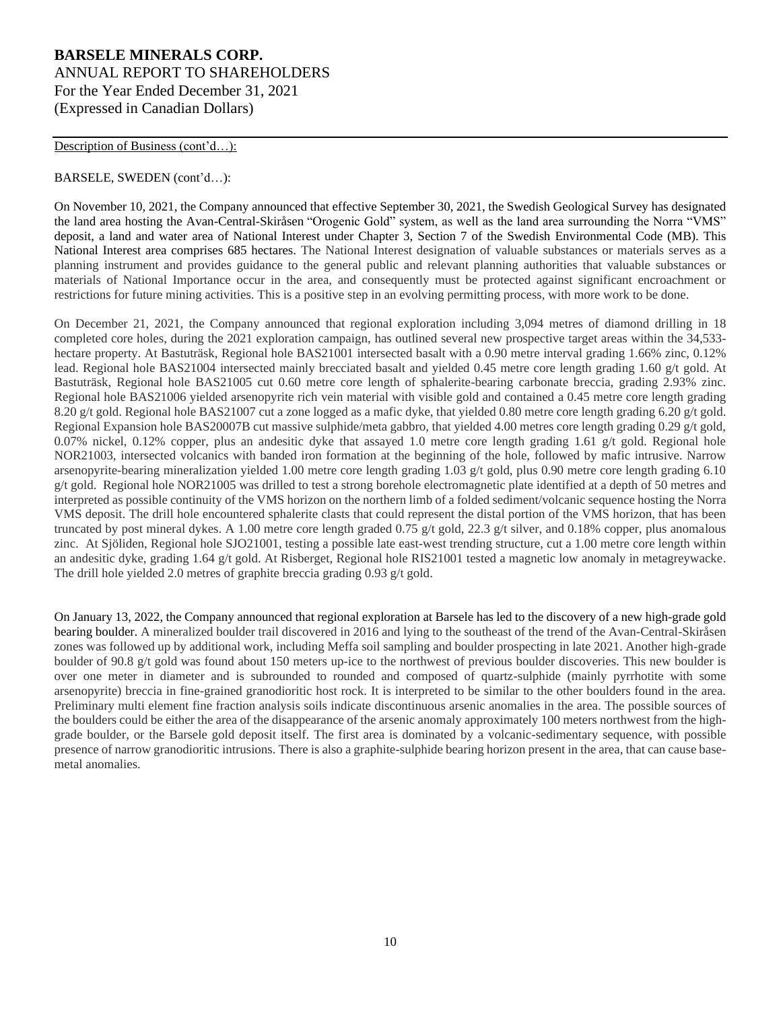#### Description of Business (cont'd...):

#### BARSELE, SWEDEN (cont'd…):

On November 10, 2021, the Company announced that effective September 30, 2021, the Swedish Geological Survey has designated the land area hosting the Avan-Central-Skiråsen "Orogenic Gold" system, as well as the land area surrounding the Norra "VMS" deposit, a land and water area of National Interest under Chapter 3, Section 7 of the Swedish Environmental Code (MB). This National Interest area comprises 685 hectares. The National Interest designation of valuable substances or materials serves as a planning instrument and provides guidance to the general public and relevant planning authorities that valuable substances or materials of National Importance occur in the area, and consequently must be protected against significant encroachment or restrictions for future mining activities. This is a positive step in an evolving permitting process, with more work to be done.

On December 21, 2021, the Company announced that regional exploration including 3,094 metres of diamond drilling in 18 completed core holes, during the 2021 exploration campaign, has outlined several new prospective target areas within the 34,533 hectare property. At Bastuträsk, Regional hole BAS21001 intersected basalt with a 0.90 metre interval grading 1.66% zinc, 0.12% lead. Regional hole BAS21004 intersected mainly brecciated basalt and yielded 0.45 metre core length grading 1.60 g/t gold. At Bastuträsk, Regional hole BAS21005 cut 0.60 metre core length of sphalerite-bearing carbonate breccia, grading 2.93% zinc. Regional hole BAS21006 yielded arsenopyrite rich vein material with visible gold and contained a 0.45 metre core length grading 8.20 g/t gold. Regional hole BAS21007 cut a zone logged as a mafic dyke, that yielded 0.80 metre core length grading 6.20 g/t gold. Regional Expansion hole BAS20007B cut massive sulphide/meta gabbro, that yielded 4.00 metres core length grading 0.29 g/t gold, 0.07% nickel, 0.12% copper, plus an andesitic dyke that assayed 1.0 metre core length grading 1.61 g/t gold. Regional hole NOR21003, intersected volcanics with banded iron formation at the beginning of the hole, followed by mafic intrusive. Narrow arsenopyrite-bearing mineralization yielded 1.00 metre core length grading 1.03 g/t gold, plus 0.90 metre core length grading 6.10 g/t gold. Regional hole NOR21005 was drilled to test a strong borehole electromagnetic plate identified at a depth of 50 metres and interpreted as possible continuity of the VMS horizon on the northern limb of a folded sediment/volcanic sequence hosting the Norra VMS deposit. The drill hole encountered sphalerite clasts that could represent the distal portion of the VMS horizon, that has been truncated by post mineral dykes. A 1.00 metre core length graded 0.75 g/t gold, 22.3 g/t silver, and 0.18% copper, plus anomalous zinc. At Sjöliden, Regional hole SJO21001, testing a possible late east-west trending structure, cut a 1.00 metre core length within an andesitic dyke, grading 1.64 g/t gold. At Risberget, Regional hole RIS21001 tested a magnetic low anomaly in metagreywacke. The drill hole yielded 2.0 metres of graphite breccia grading 0.93 g/t gold.

On January 13, 2022, the Company announced that regional exploration at Barsele has led to the discovery of a new high-grade gold bearing boulder. A mineralized boulder trail discovered in 2016 and lying to the southeast of the trend of the Avan-Central-Skiråsen zones was followed up by additional work, including Meffa soil sampling and boulder prospecting in late 2021. Another high-grade boulder of 90.8 g/t gold was found about 150 meters up-ice to the northwest of previous boulder discoveries. This new boulder is over one meter in diameter and is subrounded to rounded and composed of quartz-sulphide (mainly pyrrhotite with some arsenopyrite) breccia in fine-grained granodioritic host rock. It is interpreted to be similar to the other boulders found in the area. Preliminary multi element fine fraction analysis soils indicate discontinuous arsenic anomalies in the area. The possible sources of the boulders could be either the area of the disappearance of the arsenic anomaly approximately 100 meters northwest from the highgrade boulder, or the Barsele gold deposit itself. The first area is dominated by a volcanic-sedimentary sequence, with possible presence of narrow granodioritic intrusions. There is also a graphite-sulphide bearing horizon present in the area, that can cause basemetal anomalies.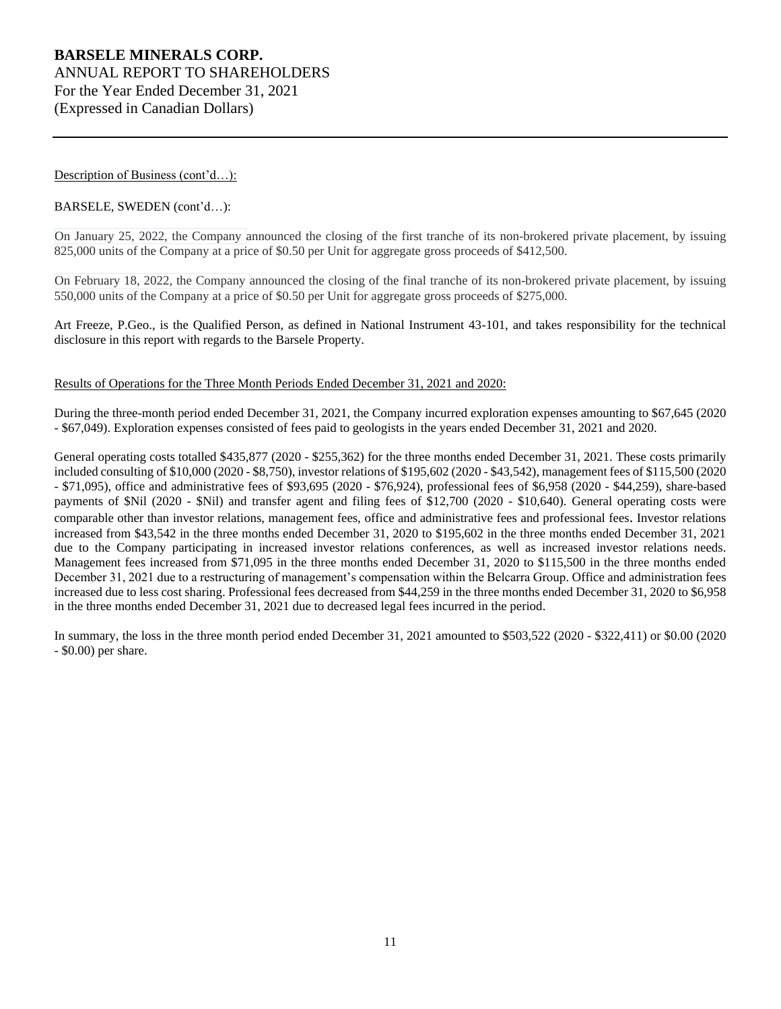## Description of Business (cont'd...):

## BARSELE, SWEDEN (cont'd…):

On January 25, 2022, the Company announced the closing of the first tranche of its non-brokered private placement, by issuing 825,000 units of the Company at a price of \$0.50 per Unit for aggregate gross proceeds of \$412,500.

On February 18, 2022, the Company announced the closing of the final tranche of its non-brokered private placement, by issuing 550,000 units of the Company at a price of \$0.50 per Unit for aggregate gross proceeds of \$275,000.

Art Freeze, P.Geo., is the Qualified Person, as defined in National Instrument 43-101, and takes responsibility for the technical disclosure in this report with regards to the Barsele Property.

#### Results of Operations for the Three Month Periods Ended December 31, 2021 and 2020:

During the three-month period ended December 31, 2021, the Company incurred exploration expenses amounting to \$67,645 (2020 - \$67,049). Exploration expenses consisted of fees paid to geologists in the years ended December 31, 2021 and 2020.

General operating costs totalled \$435,877 (2020 - \$255,362) for the three months ended December 31, 2021. These costs primarily included consulting of \$10,000 (2020 - \$8,750), investor relations of \$195,602 (2020 - \$43,542), management fees of \$115,500 (2020 - \$71,095), office and administrative fees of \$93,695 (2020 - \$76,924), professional fees of \$6,958 (2020 - \$44,259), share-based payments of \$Nil (2020 - \$Nil) and transfer agent and filing fees of \$12,700 (2020 - \$10,640). General operating costs were comparable other than investor relations, management fees, office and administrative fees and professional fees. Investor relations increased from \$43,542 in the three months ended December 31, 2020 to \$195,602 in the three months ended December 31, 2021 due to the Company participating in increased investor relations conferences, as well as increased investor relations needs. Management fees increased from \$71,095 in the three months ended December 31, 2020 to \$115,500 in the three months ended December 31, 2021 due to a restructuring of management's compensation within the Belcarra Group. Office and administration fees increased due to less cost sharing. Professional fees decreased from \$44,259 in the three months ended December 31, 2020 to \$6,958 in the three months ended December 31, 2021 due to decreased legal fees incurred in the period.

In summary, the loss in the three month period ended December 31, 2021 amounted to \$503,522 (2020 - \$322,411) or \$0.00 (2020 - \$0.00) per share.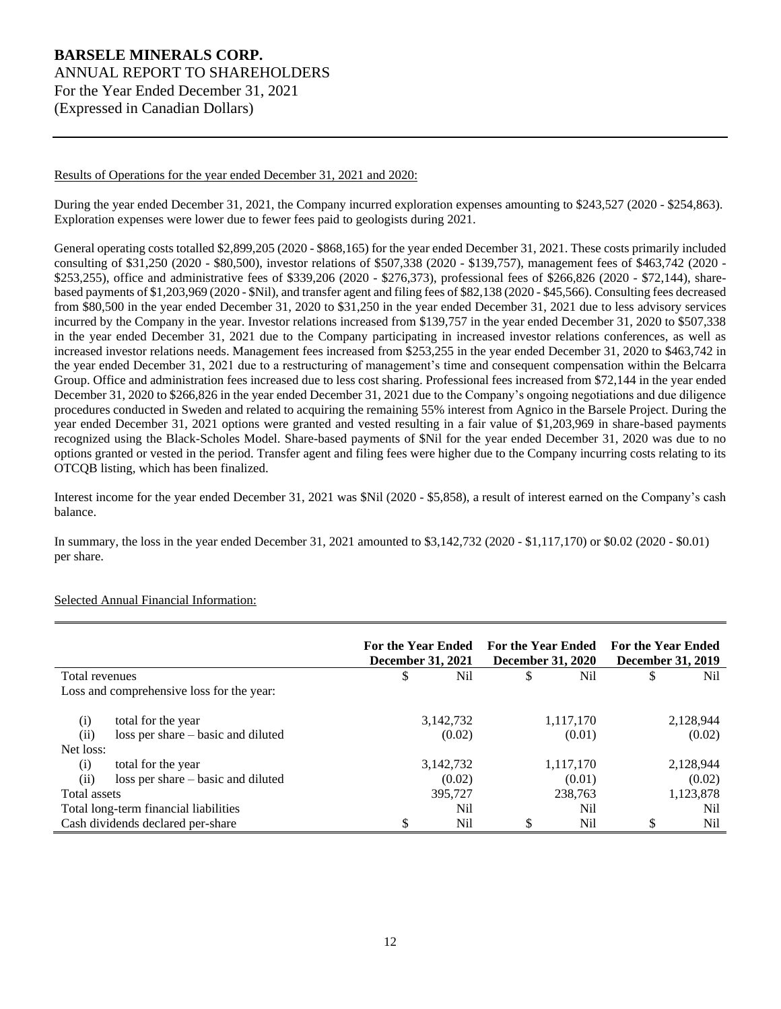#### Results of Operations for the year ended December 31, 2021 and 2020:

During the year ended December 31, 2021, the Company incurred exploration expenses amounting to \$243,527 (2020 - \$254,863). Exploration expenses were lower due to fewer fees paid to geologists during 2021.

General operating costs totalled \$2,899,205 (2020 - \$868,165) for the year ended December 31, 2021. These costs primarily included consulting of \$31,250 (2020 - \$80,500), investor relations of \$507,338 (2020 - \$139,757), management fees of \$463,742 (2020 - \$253,255), office and administrative fees of \$339,206 (2020 - \$276,373), professional fees of \$266,826 (2020 - \$72,144), sharebased payments of \$1,203,969 (2020 - \$Nil), and transfer agent and filing fees of \$82,138 (2020 - \$45,566). Consulting fees decreased from \$80,500 in the year ended December 31, 2020 to \$31,250 in the year ended December 31, 2021 due to less advisory services incurred by the Company in the year. Investor relations increased from \$139,757 in the year ended December 31, 2020 to \$507,338 in the year ended December 31, 2021 due to the Company participating in increased investor relations conferences, as well as increased investor relations needs. Management fees increased from \$253,255 in the year ended December 31, 2020 to \$463,742 in the year ended December 31, 2021 due to a restructuring of management's time and consequent compensation within the Belcarra Group. Office and administration fees increased due to less cost sharing. Professional fees increased from \$72,144 in the year ended December 31, 2020 to \$266,826 in the year ended December 31, 2021 due to the Company's ongoing negotiations and due diligence procedures conducted in Sweden and related to acquiring the remaining 55% interest from Agnico in the Barsele Project. During the year ended December 31, 2021 options were granted and vested resulting in a fair value of \$1,203,969 in share-based payments recognized using the Black-Scholes Model. Share-based payments of \$Nil for the year ended December 31, 2020 was due to no options granted or vested in the period. Transfer agent and filing fees were higher due to the Company incurring costs relating to its OTCQB listing, which has been finalized.

Interest income for the year ended December 31, 2021 was \$Nil (2020 - \$5,858), a result of interest earned on the Company's cash balance.

In summary, the loss in the year ended December 31, 2021 amounted to \$3,142,732 (2020 - \$1,117,170) or \$0.02 (2020 - \$0.01) per share.

|                                   |                                           | <b>For the Year Ended</b><br><b>December 31, 2021</b> |           | <b>For the Year Ended</b><br><b>December 31, 2020</b> |           | <b>For the Year Ended</b><br><b>December 31, 2019</b> |           |
|-----------------------------------|-------------------------------------------|-------------------------------------------------------|-----------|-------------------------------------------------------|-----------|-------------------------------------------------------|-----------|
| Total revenues                    |                                           | \$                                                    | Nil       | \$                                                    | Nil       | \$                                                    | Nil       |
|                                   | Loss and comprehensive loss for the year: |                                                       |           |                                                       |           |                                                       |           |
| (i)                               | total for the year                        |                                                       | 3,142,732 |                                                       | 1,117,170 |                                                       | 2,128,944 |
| (ii)                              | loss per share – basic and diluted        |                                                       | (0.02)    |                                                       | (0.01)    |                                                       | (0.02)    |
| Net loss:                         |                                           |                                                       |           |                                                       |           |                                                       |           |
| (i)                               | total for the year                        |                                                       | 3,142,732 |                                                       | 1,117,170 |                                                       | 2,128,944 |
| (ii)                              | loss per share – basic and diluted        |                                                       | (0.02)    |                                                       | (0.01)    |                                                       | (0.02)    |
| Total assets                      |                                           |                                                       | 395,727   |                                                       | 238.763   |                                                       | 1,123,878 |
|                                   | Total long-term financial liabilities     |                                                       | Nil       |                                                       | Nil       |                                                       | Nil       |
| Cash dividends declared per-share |                                           | \$                                                    | Nil       | \$                                                    | Nil       | \$                                                    | Nil       |

## Selected Annual Financial Information: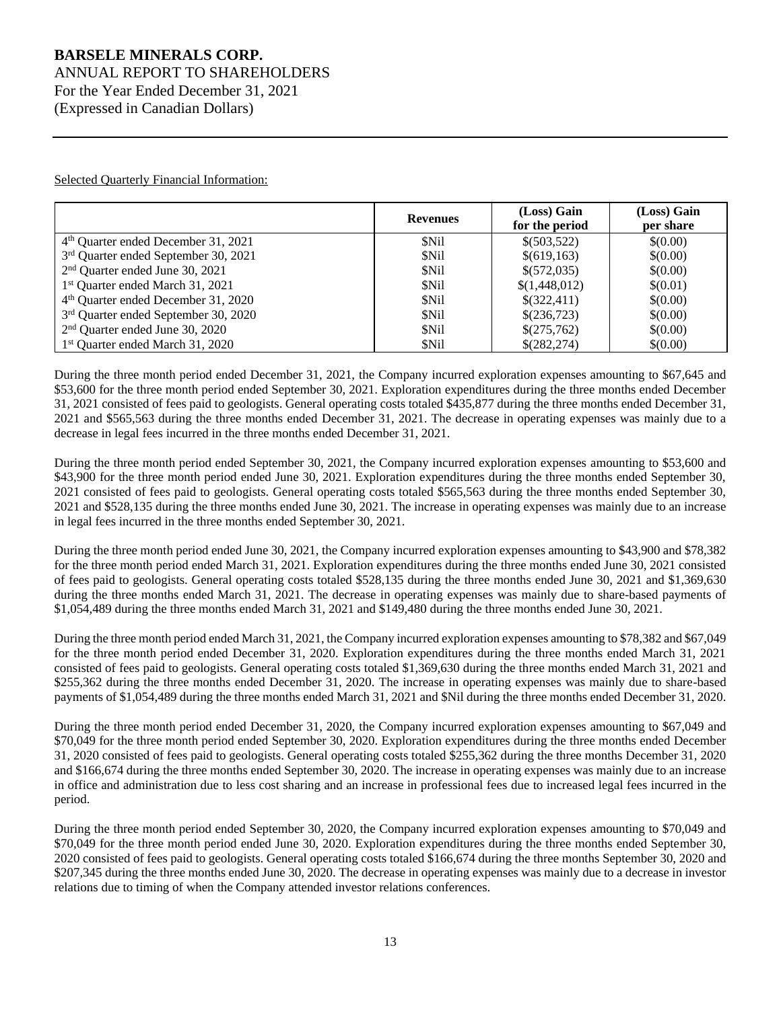# **BARSELE MINERALS CORP.** ANNUAL REPORT TO SHAREHOLDERS

For the Year Ended December 31, 2021 (Expressed in Canadian Dollars)

Selected Quarterly Financial Information:

|                                                 | <b>Revenues</b> | (Loss) Gain<br>for the period | (Loss) Gain<br>per share |
|-------------------------------------------------|-----------------|-------------------------------|--------------------------|
| 4 <sup>th</sup> Quarter ended December 31, 2021 | \$Nil           | \$(503,522)                   | \$(0.00)                 |
| 3rd Quarter ended September 30, 2021            | \$Nil           | \$(619, 163)                  | \$(0.00)                 |
| 2 <sup>nd</sup> Quarter ended June 30, 2021     | \$Nil           | \$(572,035)                   | \$(0.00)                 |
| 1 <sup>st</sup> Quarter ended March 31, 2021    | \$Nil           | \$(1,448,012)                 | \$(0.01)                 |
| 4 <sup>th</sup> Quarter ended December 31, 2020 | \$Nil           | \$(322,411)                   | \$(0.00)                 |
| 3rd Quarter ended September 30, 2020            | \$Nil           | \$(236,723)                   | \$(0.00)                 |
| $2nd$ Quarter ended June 30, 2020               | \$Nil           | \$(275,762)                   | \$(0.00)                 |
| 1 <sup>st</sup> Quarter ended March 31, 2020    | \$Nil           | \$(282,274)                   | \$(0.00)                 |

During the three month period ended December 31, 2021, the Company incurred exploration expenses amounting to \$67,645 and \$53,600 for the three month period ended September 30, 2021. Exploration expenditures during the three months ended December 31, 2021 consisted of fees paid to geologists. General operating costs totaled \$435,877 during the three months ended December 31, 2021 and \$565,563 during the three months ended December 31, 2021. The decrease in operating expenses was mainly due to a decrease in legal fees incurred in the three months ended December 31, 2021.

During the three month period ended September 30, 2021, the Company incurred exploration expenses amounting to \$53,600 and \$43,900 for the three month period ended June 30, 2021. Exploration expenditures during the three months ended September 30, 2021 consisted of fees paid to geologists. General operating costs totaled \$565,563 during the three months ended September 30, 2021 and \$528,135 during the three months ended June 30, 2021. The increase in operating expenses was mainly due to an increase in legal fees incurred in the three months ended September 30, 2021.

During the three month period ended June 30, 2021, the Company incurred exploration expenses amounting to \$43,900 and \$78,382 for the three month period ended March 31, 2021. Exploration expenditures during the three months ended June 30, 2021 consisted of fees paid to geologists. General operating costs totaled \$528,135 during the three months ended June 30, 2021 and \$1,369,630 during the three months ended March 31, 2021. The decrease in operating expenses was mainly due to share-based payments of \$1,054,489 during the three months ended March 31, 2021 and \$149,480 during the three months ended June 30, 2021.

During the three month period ended March 31, 2021, the Company incurred exploration expenses amounting to \$78,382 and \$67,049 for the three month period ended December 31, 2020. Exploration expenditures during the three months ended March 31, 2021 consisted of fees paid to geologists. General operating costs totaled \$1,369,630 during the three months ended March 31, 2021 and \$255,362 during the three months ended December 31, 2020. The increase in operating expenses was mainly due to share-based payments of \$1,054,489 during the three months ended March 31, 2021 and \$Nil during the three months ended December 31, 2020.

During the three month period ended December 31, 2020, the Company incurred exploration expenses amounting to \$67,049 and \$70,049 for the three month period ended September 30, 2020. Exploration expenditures during the three months ended December 31, 2020 consisted of fees paid to geologists. General operating costs totaled \$255,362 during the three months December 31, 2020 and \$166,674 during the three months ended September 30, 2020. The increase in operating expenses was mainly due to an increase in office and administration due to less cost sharing and an increase in professional fees due to increased legal fees incurred in the period.

During the three month period ended September 30, 2020, the Company incurred exploration expenses amounting to \$70,049 and \$70,049 for the three month period ended June 30, 2020. Exploration expenditures during the three months ended September 30, 2020 consisted of fees paid to geologists. General operating costs totaled \$166,674 during the three months September 30, 2020 and \$207,345 during the three months ended June 30, 2020. The decrease in operating expenses was mainly due to a decrease in investor relations due to timing of when the Company attended investor relations conferences.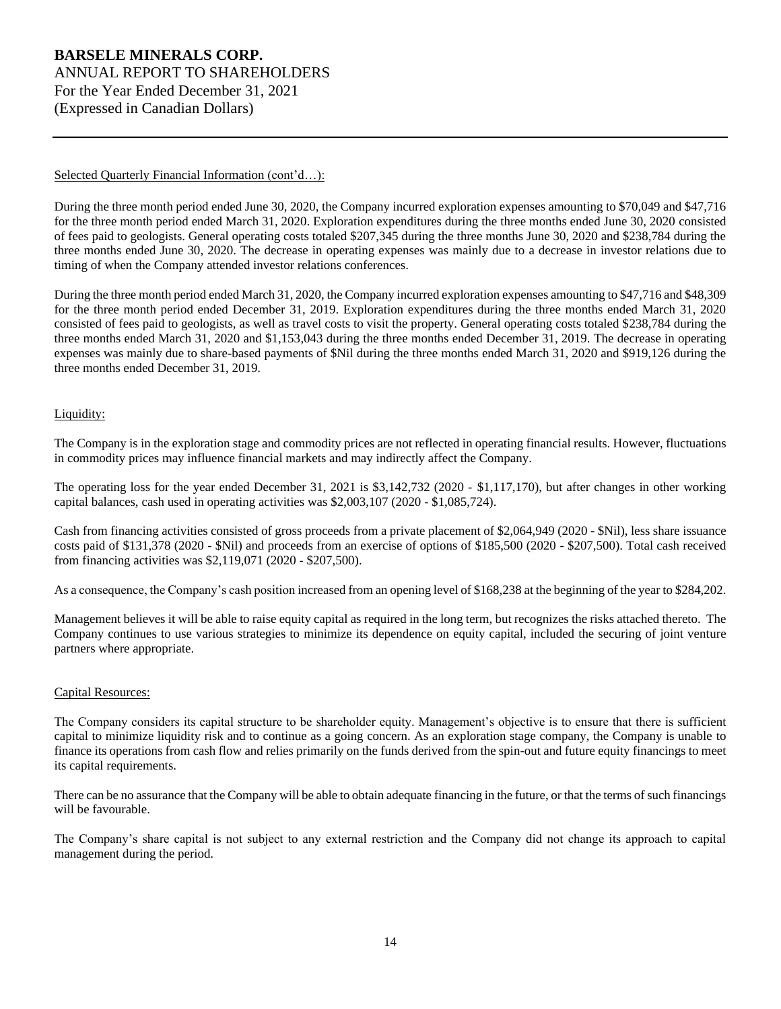## Selected Quarterly Financial Information (cont'd...):

During the three month period ended June 30, 2020, the Company incurred exploration expenses amounting to \$70,049 and \$47,716 for the three month period ended March 31, 2020. Exploration expenditures during the three months ended June 30, 2020 consisted of fees paid to geologists. General operating costs totaled \$207,345 during the three months June 30, 2020 and \$238,784 during the three months ended June 30, 2020. The decrease in operating expenses was mainly due to a decrease in investor relations due to timing of when the Company attended investor relations conferences.

During the three month period ended March 31, 2020, the Company incurred exploration expenses amounting to \$47,716 and \$48,309 for the three month period ended December 31, 2019. Exploration expenditures during the three months ended March 31, 2020 consisted of fees paid to geologists, as well as travel costs to visit the property. General operating costs totaled \$238,784 during the three months ended March 31, 2020 and \$1,153,043 during the three months ended December 31, 2019. The decrease in operating expenses was mainly due to share-based payments of \$Nil during the three months ended March 31, 2020 and \$919,126 during the three months ended December 31, 2019.

## Liquidity:

The Company is in the exploration stage and commodity prices are not reflected in operating financial results. However, fluctuations in commodity prices may influence financial markets and may indirectly affect the Company.

The operating loss for the year ended December 31, 2021 is \$3,142,732 (2020 - \$1,117,170), but after changes in other working capital balances, cash used in operating activities was \$2,003,107 (2020 - \$1,085,724).

Cash from financing activities consisted of gross proceeds from a private placement of \$2,064,949 (2020 - \$Nil), less share issuance costs paid of \$131,378 (2020 - \$Nil) and proceeds from an exercise of options of \$185,500 (2020 - \$207,500). Total cash received from financing activities was \$2,119,071 (2020 - \$207,500).

As a consequence, the Company's cash position increased from an opening level of \$168,238 at the beginning of the year to \$284,202.

Management believes it will be able to raise equity capital as required in the long term, but recognizes the risks attached thereto. The Company continues to use various strategies to minimize its dependence on equity capital, included the securing of joint venture partners where appropriate.

## Capital Resources:

The Company considers its capital structure to be shareholder equity. Management's objective is to ensure that there is sufficient capital to minimize liquidity risk and to continue as a going concern. As an exploration stage company, the Company is unable to finance its operations from cash flow and relies primarily on the funds derived from the spin-out and future equity financings to meet its capital requirements.

There can be no assurance that the Company will be able to obtain adequate financing in the future, or that the terms of such financings will be favourable.

The Company's share capital is not subject to any external restriction and the Company did not change its approach to capital management during the period.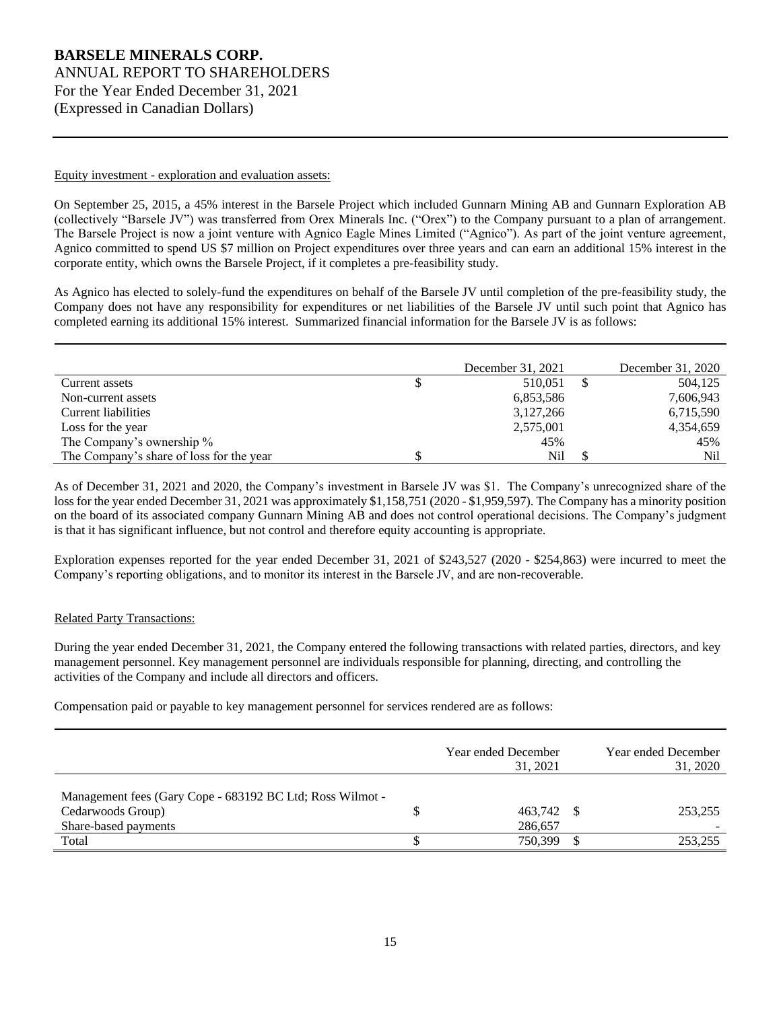#### Equity investment - exploration and evaluation assets:

On September 25, 2015, a 45% interest in the Barsele Project which included Gunnarn Mining AB and Gunnarn Exploration AB (collectively "Barsele JV") was transferred from Orex Minerals Inc. ("Orex") to the Company pursuant to a plan of arrangement. The Barsele Project is now a joint venture with Agnico Eagle Mines Limited ("Agnico"). As part of the joint venture agreement, Agnico committed to spend US \$7 million on Project expenditures over three years and can earn an additional 15% interest in the corporate entity, which owns the Barsele Project, if it completes a pre-feasibility study.

As Agnico has elected to solely-fund the expenditures on behalf of the Barsele JV until completion of the pre-feasibility study, the Company does not have any responsibility for expenditures or net liabilities of the Barsele JV until such point that Agnico has completed earning its additional 15% interest. Summarized financial information for the Barsele JV is as follows:

|                                          |   | December 31, 2021 | December 31, 2020 |
|------------------------------------------|---|-------------------|-------------------|
| Current assets                           | D | 510,051           | 504,125           |
| Non-current assets                       |   | 6,853,586         | 7,606,943         |
| Current liabilities                      |   | 3,127,266         | 6,715,590         |
| Loss for the year                        |   | 2,575,001         | 4,354,659         |
| The Company's ownership %                |   | 45%               | 45%               |
| The Company's share of loss for the year |   | Nil               | Nil               |

As of December 31, 2021 and 2020, the Company's investment in Barsele JV was \$1. The Company's unrecognized share of the loss for the year ended December 31, 2021 was approximately \$1,158,751 (2020 - \$1,959,597). The Company has a minority position on the board of its associated company Gunnarn Mining AB and does not control operational decisions. The Company's judgment is that it has significant influence, but not control and therefore equity accounting is appropriate.

Exploration expenses reported for the year ended December 31, 2021 of \$243,527 (2020 - \$254,863) were incurred to meet the Company's reporting obligations, and to monitor its interest in the Barsele JV, and are non-recoverable.

## Related Party Transactions:

During the year ended December 31, 2021, the Company entered the following transactions with related parties, directors, and key management personnel. Key management personnel are individuals responsible for planning, directing, and controlling the activities of the Company and include all directors and officers.

Compensation paid or payable to key management personnel for services rendered are as follows:

|                                                                                |   | Year ended December<br>31, 2021 | Year ended December<br>31, 2020 |
|--------------------------------------------------------------------------------|---|---------------------------------|---------------------------------|
| Management fees (Gary Cope - 683192 BC Ltd; Ross Wilmot -<br>Cedarwoods Group) | S | 463,742 \$                      | 253.255                         |
| Share-based payments                                                           |   | 286,657                         |                                 |
| Total                                                                          |   | 750.399                         | 253,255                         |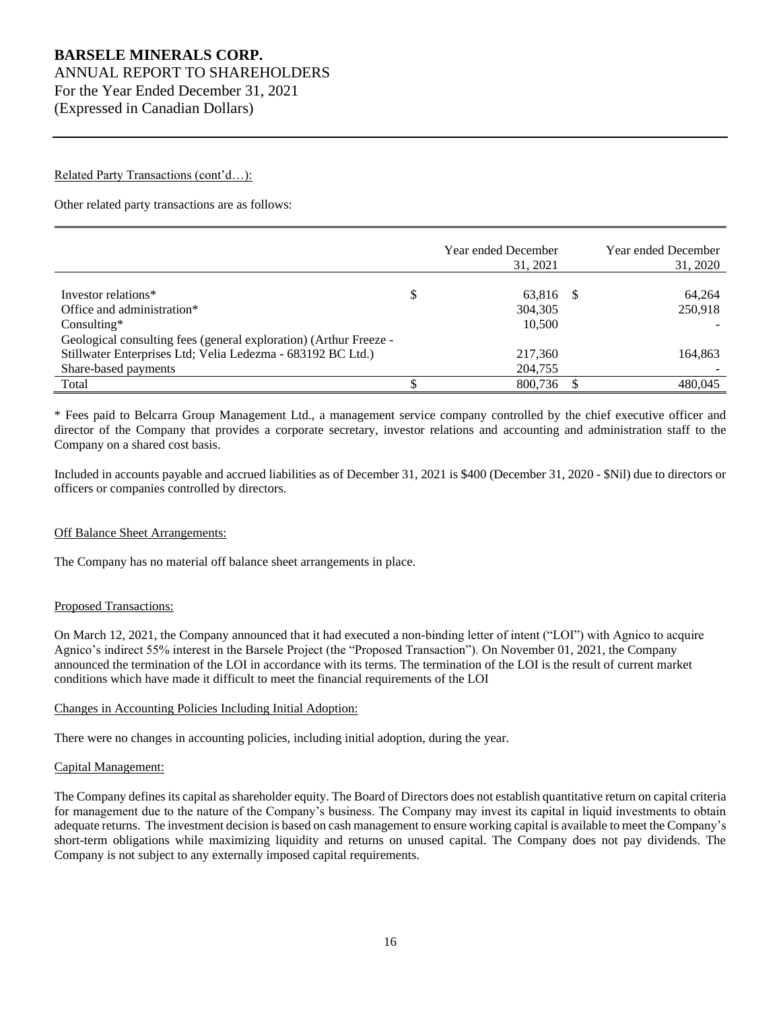## Related Party Transactions (cont'd...):

Other related party transactions are as follows:

|                                                                   | Year ended December<br>31, 2021 | Year ended December<br>31, 2020 |
|-------------------------------------------------------------------|---------------------------------|---------------------------------|
| Investor relations*                                               | \$<br>63,816 \$                 | 64.264                          |
| Office and administration*                                        | 304.305                         | 250,918                         |
| $Consulting*$                                                     | 10.500                          |                                 |
| Geological consulting fees (general exploration) (Arthur Freeze - |                                 |                                 |
| Stillwater Enterprises Ltd; Velia Ledezma - 683192 BC Ltd.)       | 217,360                         | 164.863                         |
| Share-based payments                                              | 204,755                         |                                 |
| Total                                                             | 800.736                         | 480.045                         |

\* Fees paid to Belcarra Group Management Ltd., a management service company controlled by the chief executive officer and director of the Company that provides a corporate secretary, investor relations and accounting and administration staff to the Company on a shared cost basis.

Included in accounts payable and accrued liabilities as of December 31, 2021 is \$400 (December 31, 2020 - \$Nil) due to directors or officers or companies controlled by directors.

## Off Balance Sheet Arrangements:

The Company has no material off balance sheet arrangements in place.

#### Proposed Transactions:

On March 12, 2021, the Company announced that it had executed a non-binding letter of intent ("LOI") with Agnico to acquire Agnico's indirect 55% interest in the Barsele Project (the "Proposed Transaction"). On November 01, 2021, the Company announced the termination of the LOI in accordance with its terms. The termination of the LOI is the result of current market conditions which have made it difficult to meet the financial requirements of the LOI

#### Changes in Accounting Policies Including Initial Adoption:

There were no changes in accounting policies, including initial adoption, during the year.

#### Capital Management:

The Company defines its capital as shareholder equity. The Board of Directors does not establish quantitative return on capital criteria for management due to the nature of the Company's business. The Company may invest its capital in liquid investments to obtain adequate returns. The investment decision is based on cash management to ensure working capital is available to meet the Company's short-term obligations while maximizing liquidity and returns on unused capital. The Company does not pay dividends. The Company is not subject to any externally imposed capital requirements.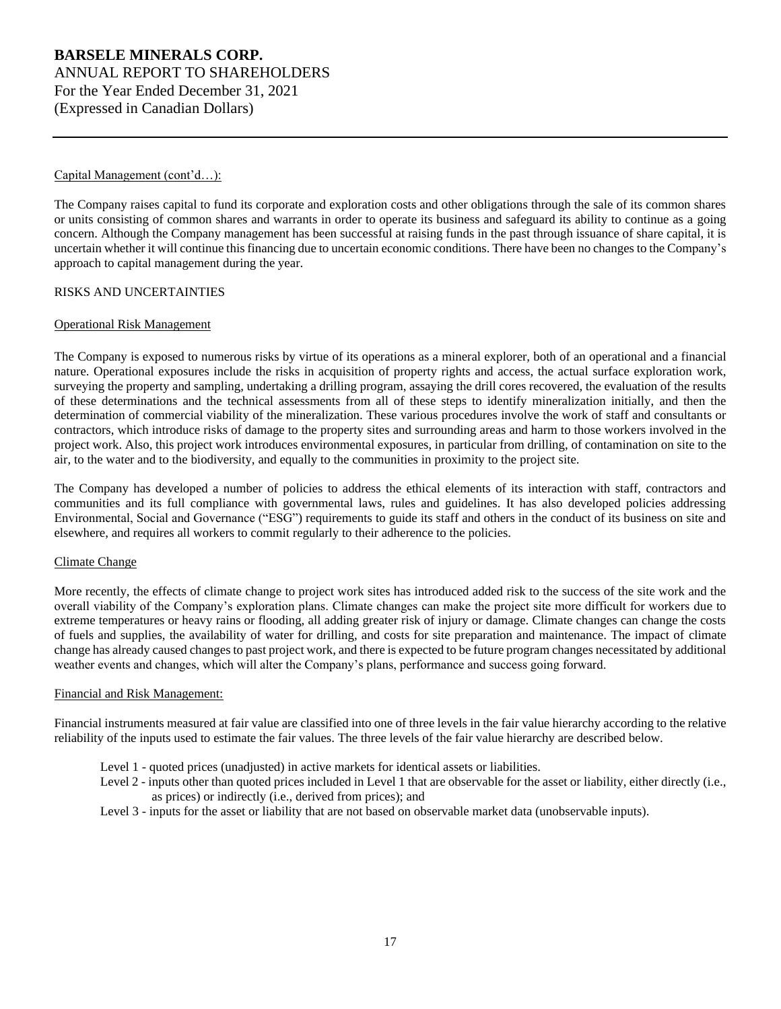## Capital Management (cont'd...):

The Company raises capital to fund its corporate and exploration costs and other obligations through the sale of its common shares or units consisting of common shares and warrants in order to operate its business and safeguard its ability to continue as a going concern. Although the Company management has been successful at raising funds in the past through issuance of share capital, it is uncertain whether it will continue this financing due to uncertain economic conditions. There have been no changes to the Company's approach to capital management during the year.

#### RISKS AND UNCERTAINTIES

#### Operational Risk Management

The Company is exposed to numerous risks by virtue of its operations as a mineral explorer, both of an operational and a financial nature. Operational exposures include the risks in acquisition of property rights and access, the actual surface exploration work, surveying the property and sampling, undertaking a drilling program, assaying the drill cores recovered, the evaluation of the results of these determinations and the technical assessments from all of these steps to identify mineralization initially, and then the determination of commercial viability of the mineralization. These various procedures involve the work of staff and consultants or contractors, which introduce risks of damage to the property sites and surrounding areas and harm to those workers involved in the project work. Also, this project work introduces environmental exposures, in particular from drilling, of contamination on site to the air, to the water and to the biodiversity, and equally to the communities in proximity to the project site.

The Company has developed a number of policies to address the ethical elements of its interaction with staff, contractors and communities and its full compliance with governmental laws, rules and guidelines. It has also developed policies addressing Environmental, Social and Governance ("ESG") requirements to guide its staff and others in the conduct of its business on site and elsewhere, and requires all workers to commit regularly to their adherence to the policies.

#### Climate Change

More recently, the effects of climate change to project work sites has introduced added risk to the success of the site work and the overall viability of the Company's exploration plans. Climate changes can make the project site more difficult for workers due to extreme temperatures or heavy rains or flooding, all adding greater risk of injury or damage. Climate changes can change the costs of fuels and supplies, the availability of water for drilling, and costs for site preparation and maintenance. The impact of climate change has already caused changes to past project work, and there is expected to be future program changes necessitated by additional weather events and changes, which will alter the Company's plans, performance and success going forward.

## Financial and Risk Management:

Financial instruments measured at fair value are classified into one of three levels in the fair value hierarchy according to the relative reliability of the inputs used to estimate the fair values. The three levels of the fair value hierarchy are described below.

- Level 1 quoted prices (unadjusted) in active markets for identical assets or liabilities.
- Level 2 inputs other than quoted prices included in Level 1 that are observable for the asset or liability, either directly (i.e., as prices) or indirectly (i.e., derived from prices); and
- Level 3 inputs for the asset or liability that are not based on observable market data (unobservable inputs).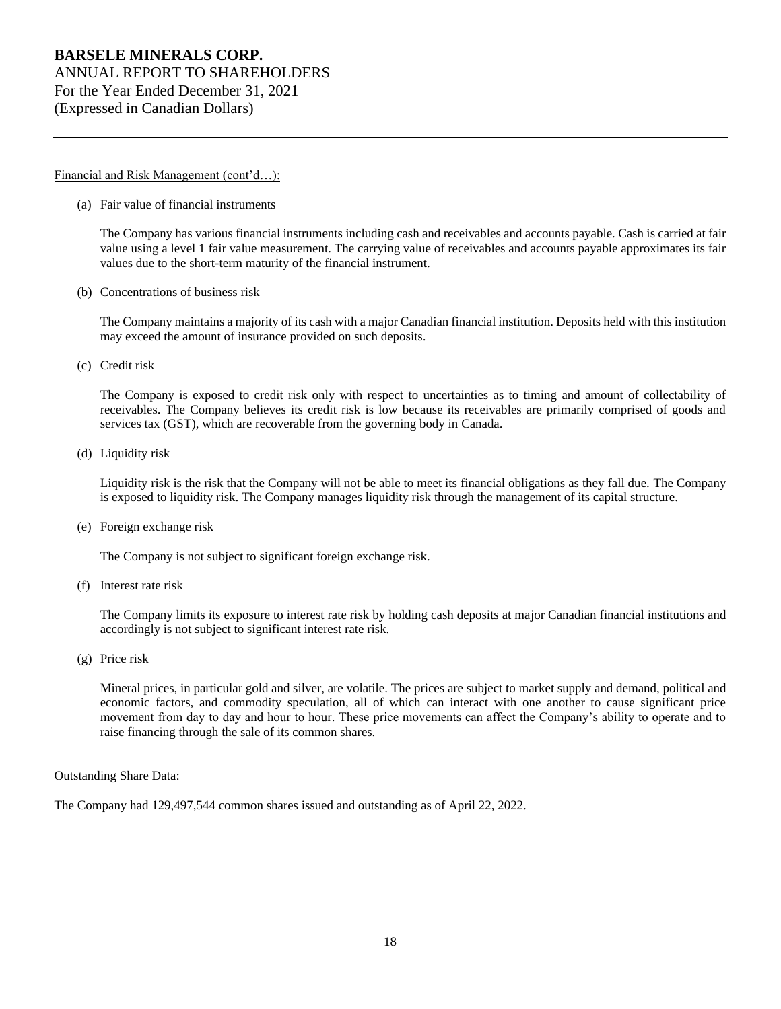#### Financial and Risk Management (cont'd...):

(a) Fair value of financial instruments

The Company has various financial instruments including cash and receivables and accounts payable. Cash is carried at fair value using a level 1 fair value measurement. The carrying value of receivables and accounts payable approximates its fair values due to the short-term maturity of the financial instrument.

(b) Concentrations of business risk

The Company maintains a majority of its cash with a major Canadian financial institution. Deposits held with this institution may exceed the amount of insurance provided on such deposits.

(c) Credit risk

The Company is exposed to credit risk only with respect to uncertainties as to timing and amount of collectability of receivables. The Company believes its credit risk is low because its receivables are primarily comprised of goods and services tax (GST), which are recoverable from the governing body in Canada.

(d) Liquidity risk

Liquidity risk is the risk that the Company will not be able to meet its financial obligations as they fall due. The Company is exposed to liquidity risk. The Company manages liquidity risk through the management of its capital structure.

(e) Foreign exchange risk

The Company is not subject to significant foreign exchange risk.

(f) Interest rate risk

The Company limits its exposure to interest rate risk by holding cash deposits at major Canadian financial institutions and accordingly is not subject to significant interest rate risk.

(g) Price risk

Mineral prices, in particular gold and silver, are volatile. The prices are subject to market supply and demand, political and economic factors, and commodity speculation, all of which can interact with one another to cause significant price movement from day to day and hour to hour. These price movements can affect the Company's ability to operate and to raise financing through the sale of its common shares.

## Outstanding Share Data:

The Company had 129,497,544 common shares issued and outstanding as of April 22, 2022.